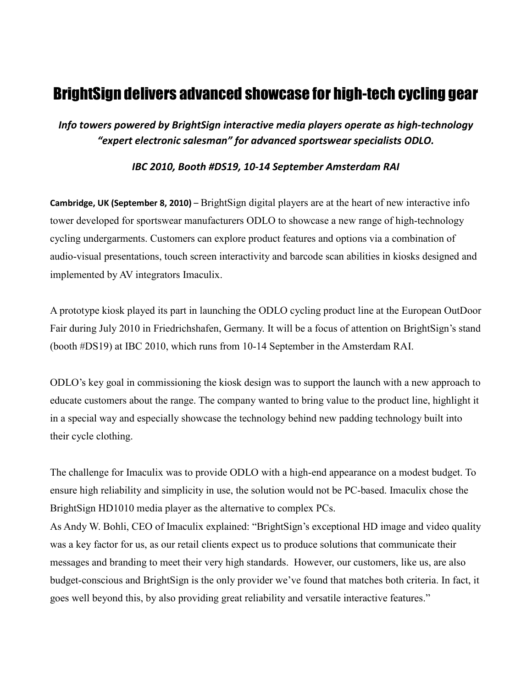# BrightSign delivers advanced showcase for high-tech cycling gear

*Info towers powered by BrightSign interactive media players operate as high-technology "expert electronic salesman" for advanced sportswear specialists ODLO.*

## *IBC 2010, Booth #DS19, 10-14 September Amsterdam RAI*

**Cambridge, UK (September 8, 2010)** – BrightSign digital players are at the heart of new interactive info tower developed for sportswear manufacturers ODLO to showcase a new range of high-technology cycling undergarments. Customers can explore product features and options via a combination of audio-visual presentations, touch screen interactivity and barcode scan abilities in kiosks designed and implemented by AV integrators Imaculix.

A prototype kiosk played its part in launching the ODLO cycling product line at the European OutDoor Fair during July 2010 in Friedrichshafen, Germany. It will be a focus of attention on BrightSign's stand (booth #DS19) at IBC 2010, which runs from 10-14 September in the Amsterdam RAI.

ODLO's key goal in commissioning the kiosk design was to support the launch with a new approach to educate customers about the range. The company wanted to bring value to the product line, highlight it in a special way and especially showcase the technology behind new padding technology built into their cycle clothing.

The challenge for Imaculix was to provide ODLO with a high-end appearance on a modest budget. To ensure high reliability and simplicity in use, the solution would not be PC-based. Imaculix chose the BrightSign HD1010 media player as the alternative to complex PCs.

As Andy W. Bohli, CEO of Imaculix explained: "BrightSign's exceptional HD image and video quality was a key factor for us, as our retail clients expect us to produce solutions that communicate their messages and branding to meet their very high standards. However, our customers, like us, are also budget-conscious and BrightSign is the only provider we've found that matches both criteria. In fact, it goes well beyond this, by also providing great reliability and versatile interactive features."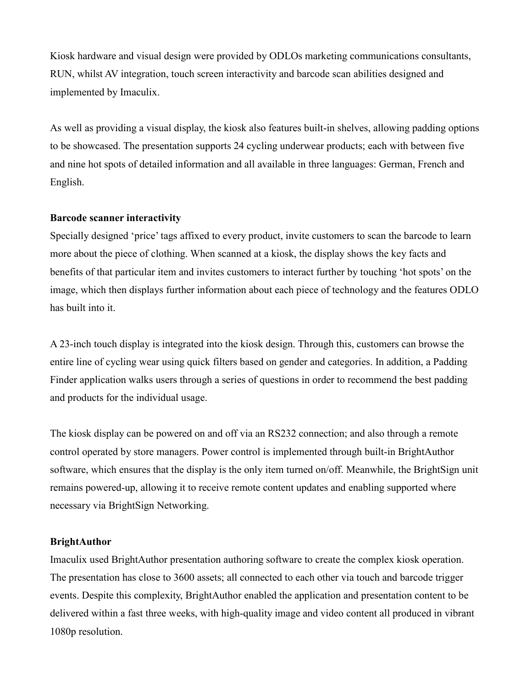Kiosk hardware and visual design were provided by ODLOs marketing communications consultants, RUN, whilst AV integration, touch screen interactivity and barcode scan abilities designed and implemented by Imaculix.

As well as providing a visual display, the kiosk also features built-in shelves, allowing padding options to be showcased. The presentation supports 24 cycling underwear products; each with between five and nine hot spots of detailed information and all available in three languages: German, French and English.

## **Barcode scanner interactivity**

Specially designed 'price' tags affixed to every product, invite customers to scan the barcode to learn more about the piece of clothing. When scanned at a kiosk, the display shows the key facts and benefits of that particular item and invites customers to interact further by touching 'hot spots' on the image, which then displays further information about each piece of technology and the features ODLO has built into it.

A 23-inch touch display is integrated into the kiosk design. Through this, customers can browse the entire line of cycling wear using quick filters based on gender and categories. In addition, a Padding Finder application walks users through a series of questions in order to recommend the best padding and products for the individual usage.

The kiosk display can be powered on and off via an RS232 connection; and also through a remote control operated by store managers. Power control is implemented through built-in BrightAuthor software, which ensures that the display is the only item turned on/off. Meanwhile, the BrightSign unit remains powered-up, allowing it to receive remote content updates and enabling supported where necessary via BrightSign Networking.

#### **BrightAuthor**

Imaculix used BrightAuthor presentation authoring software to create the complex kiosk operation. The presentation has close to 3600 assets; all connected to each other via touch and barcode trigger events. Despite this complexity, BrightAuthor enabled the application and presentation content to be delivered within a fast three weeks, with high-quality image and video content all produced in vibrant 1080p resolution.